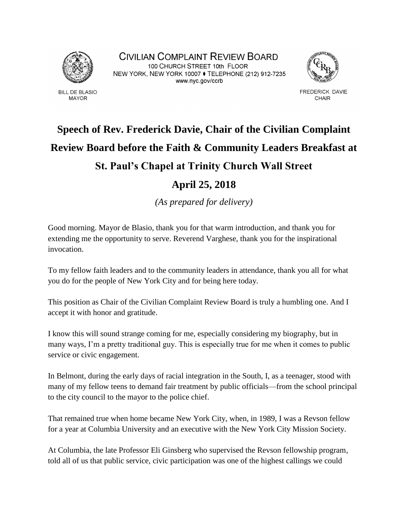

**BILL DE BLASIO MAYOR** 

CIVILIAN COMPLAINT REVIEW BOARD 100 CHURCH STREET 10th FLOOR NEW YORK, NEW YORK 10007 ♦ TELEPHONE (212) 912-7235 www.nyc.gov/ccrb



FREDERICK DAVIE **CHAIR** 

## **Speech of Rev. Frederick Davie, Chair of the Civilian Complaint Review Board before the Faith & Community Leaders Breakfast at St. Paul's Chapel at Trinity Church Wall Street April 25, 2018**

*(As prepared for delivery)*

Good morning. Mayor de Blasio, thank you for that warm introduction, and thank you for extending me the opportunity to serve. Reverend Varghese, thank you for the inspirational invocation.

To my fellow faith leaders and to the community leaders in attendance, thank you all for what you do for the people of New York City and for being here today.

This position as Chair of the Civilian Complaint Review Board is truly a humbling one. And I accept it with honor and gratitude.

I know this will sound strange coming for me, especially considering my biography, but in many ways, I'm a pretty traditional guy. This is especially true for me when it comes to public service or civic engagement.

In Belmont, during the early days of racial integration in the South, I, as a teenager, stood with many of my fellow teens to demand fair treatment by public officials—from the school principal to the city council to the mayor to the police chief.

That remained true when home became New York City, when, in 1989, I was a Revson fellow for a year at Columbia University and an executive with the New York City Mission Society.

At Columbia, the late Professor Eli Ginsberg who supervised the Revson fellowship program, told all of us that public service, civic participation was one of the highest callings we could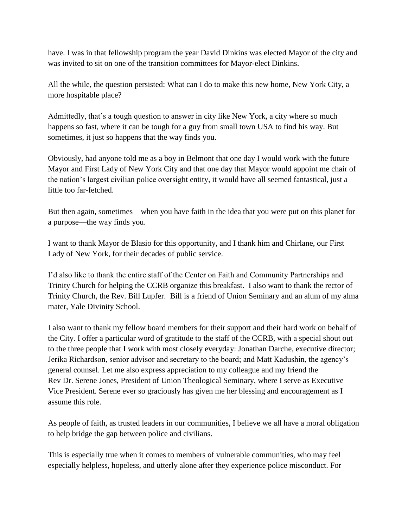have. I was in that fellowship program the year David Dinkins was elected Mayor of the city and was invited to sit on one of the transition committees for Mayor-elect Dinkins.

All the while, the question persisted: What can I do to make this new home, New York City, a more hospitable place?

Admittedly, that's a tough question to answer in city like New York, a city where so much happens so fast, where it can be tough for a guy from small town USA to find his way. But sometimes, it just so happens that the way finds you.

Obviously, had anyone told me as a boy in Belmont that one day I would work with the future Mayor and First Lady of New York City and that one day that Mayor would appoint me chair of the nation's largest civilian police oversight entity, it would have all seemed fantastical, just a little too far-fetched.

But then again, sometimes—when you have faith in the idea that you were put on this planet for a purpose—the way finds you.

I want to thank Mayor de Blasio for this opportunity, and I thank him and Chirlane, our First Lady of New York, for their decades of public service.

I'd also like to thank the entire staff of the Center on Faith and Community Partnerships and Trinity Church for helping the CCRB organize this breakfast. I also want to thank the rector of Trinity Church, the Rev. Bill Lupfer. Bill is a friend of Union Seminary and an alum of my alma mater, Yale Divinity School.

I also want to thank my fellow board members for their support and their hard work on behalf of the City. I offer a particular word of gratitude to the staff of the CCRB, with a special shout out to the three people that I work with most closely everyday: Jonathan Darche, executive director; Jerika Richardson, senior advisor and secretary to the board; and Matt Kadushin, the agency's general counsel. Let me also express appreciation to my colleague and my friend the Rev Dr. Serene Jones, President of Union Theological Seminary, where I serve as Executive Vice President. Serene ever so graciously has given me her blessing and encouragement as I assume this role.

As people of faith, as trusted leaders in our communities, I believe we all have a moral obligation to help bridge the gap between police and civilians.

This is especially true when it comes to members of vulnerable communities, who may feel especially helpless, hopeless, and utterly alone after they experience police misconduct. For